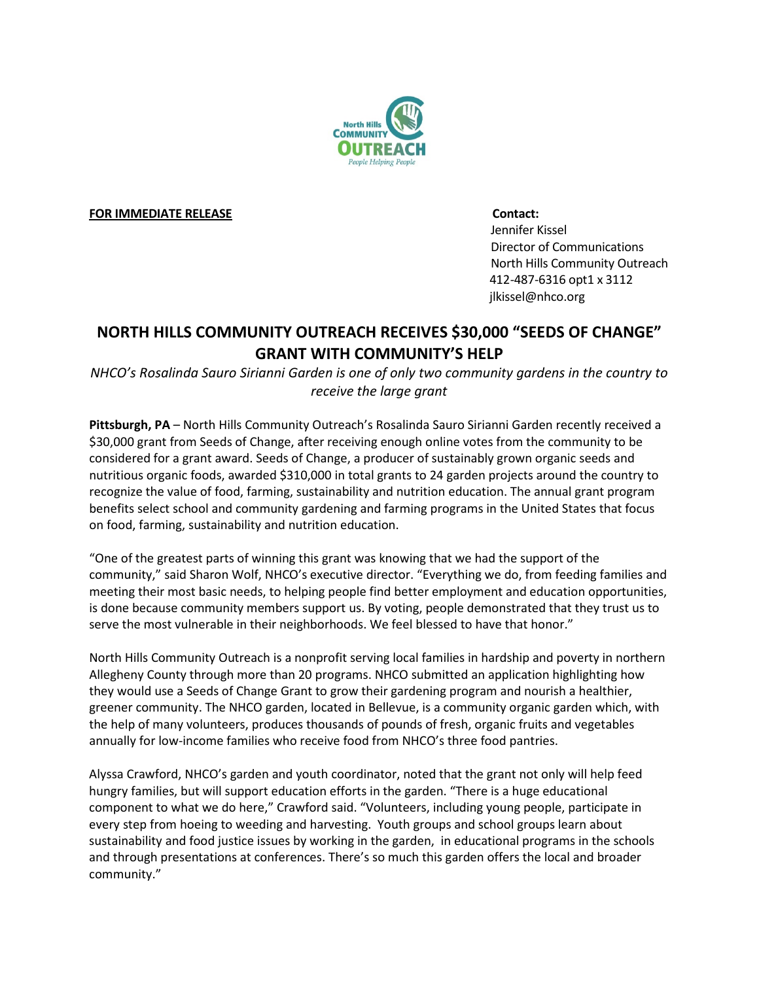

**FOR IMMEDIATE RELEASE Contact:** 

 Jennifer Kissel Director of Communications North Hills Community Outreach 412-487-6316 opt1 x 3112 jlkissel@nhco.org

# **NORTH HILLS COMMUNITY OUTREACH RECEIVES \$30,000 "SEEDS OF CHANGE" GRANT WITH COMMUNITY'S HELP**

*NHCO's Rosalinda Sauro Sirianni Garden is one of only two community gardens in the country to receive the large grant* 

**Pittsburgh, PA** – North Hills Community Outreach's Rosalinda Sauro Sirianni Garden recently received a \$30,000 grant from Seeds of Change, after receiving enough online votes from the community to be considered for a grant award. Seeds of Change, a producer of sustainably grown organic seeds and nutritious organic foods, awarded \$310,000 in total grants to 24 garden projects around the country to recognize the value of food, farming, sustainability and nutrition education. The annual grant program benefits select school and community gardening and farming programs in the United States that focus on food, farming, sustainability and nutrition education.

"One of the greatest parts of winning this grant was knowing that we had the support of the community," said Sharon Wolf, NHCO's executive director. "Everything we do, from feeding families and meeting their most basic needs, to helping people find better employment and education opportunities, is done because community members support us. By voting, people demonstrated that they trust us to serve the most vulnerable in their neighborhoods. We feel blessed to have that honor."

North Hills Community Outreach is a nonprofit serving local families in hardship and poverty in northern Allegheny County through more than 20 programs. NHCO submitted an application highlighting how they would use a Seeds of Change Grant to grow their gardening program and nourish a healthier, greener community. The NHCO garden, located in Bellevue, is a community organic garden which, with the help of many volunteers, produces thousands of pounds of fresh, organic fruits and vegetables annually for low-income families who receive food from NHCO's three food pantries.

Alyssa Crawford, NHCO's garden and youth coordinator, noted that the grant not only will help feed hungry families, but will support education efforts in the garden. "There is a huge educational component to what we do here," Crawford said. "Volunteers, including young people, participate in every step from hoeing to weeding and harvesting. Youth groups and school groups learn about sustainability and food justice issues by working in the garden, in educational programs in the schools and through presentations at conferences. There's so much this garden offers the local and broader community."